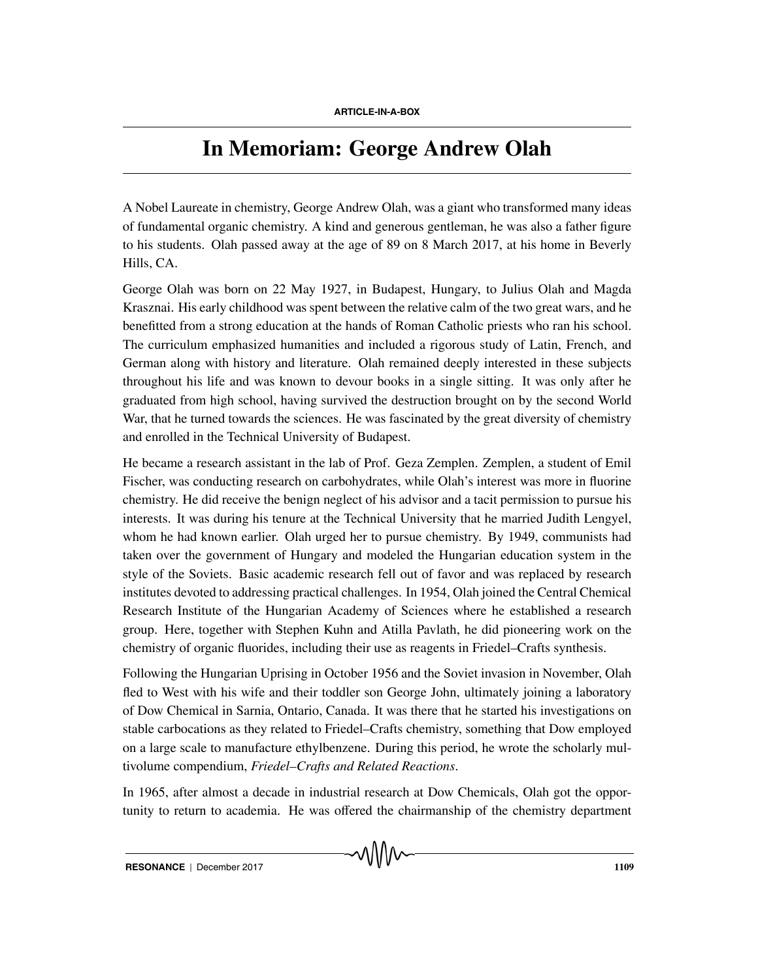## **In Memoriam: George Andrew Olah**

A Nobel Laureate in chemistry, George Andrew Olah, was a giant who transformed many ideas of fundamental organic chemistry. A kind and generous gentleman, he was also a father figure to his students. Olah passed away at the age of 89 on 8 March 2017, at his home in Beverly Hills, CA.

George Olah was born on 22 May 1927, in Budapest, Hungary, to Julius Olah and Magda Krasznai. His early childhood was spent between the relative calm of the two great wars, and he benefitted from a strong education at the hands of Roman Catholic priests who ran his school. The curriculum emphasized humanities and included a rigorous study of Latin, French, and German along with history and literature. Olah remained deeply interested in these subjects throughout his life and was known to devour books in a single sitting. It was only after he graduated from high school, having survived the destruction brought on by the second World War, that he turned towards the sciences. He was fascinated by the great diversity of chemistry and enrolled in the Technical University of Budapest.

He became a research assistant in the lab of Prof. Geza Zemplen. Zemplen, a student of Emil Fischer, was conducting research on carbohydrates, while Olah's interest was more in fluorine chemistry. He did receive the benign neglect of his advisor and a tacit permission to pursue his interests. It was during his tenure at the Technical University that he married Judith Lengyel, whom he had known earlier. Olah urged her to pursue chemistry. By 1949, communists had taken over the government of Hungary and modeled the Hungarian education system in the style of the Soviets. Basic academic research fell out of favor and was replaced by research institutes devoted to addressing practical challenges. In 1954, Olah joined the Central Chemical Research Institute of the Hungarian Academy of Sciences where he established a research group. Here, together with Stephen Kuhn and Atilla Pavlath, he did pioneering work on the chemistry of organic fluorides, including their use as reagents in Friedel–Crafts synthesis.

Following the Hungarian Uprising in October 1956 and the Soviet invasion in November, Olah fled to West with his wife and their toddler son George John, ultimately joining a laboratory of Dow Chemical in Sarnia, Ontario, Canada. It was there that he started his investigations on stable carbocations as they related to Friedel–Crafts chemistry, something that Dow employed on a large scale to manufacture ethylbenzene. During this period, he wrote the scholarly multivolume compendium, *Friedel–Crafts and Related Reactions*.

In 1965, after almost a decade in industrial research at Dow Chemicals, Olah got the opportunity to return to academia. He was offered the chairmanship of the chemistry department